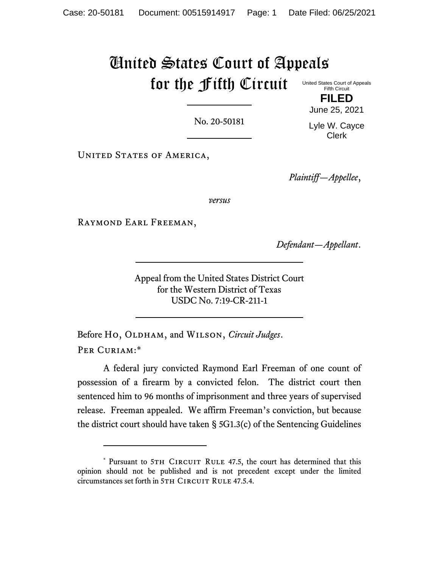# United States Court of Appeals for the Fifth Circuit United States Court of Appeals

No. 20-50181

Lyle W. Cayce

Clerk

UNITED STATES OF AMERICA,

*Plaintiff—Appellee*,

*versus*

Raymond Earl Freeman,

*Defendant—Appellant*.

Appeal from the United States District Court for the Western District of Texas USDC No. 7:19-CR-211-1

Before Ho, OLDHAM, and WILSON, *Circuit Judges*. PER CURIAM:\*

A federal jury convicted Raymond Earl Freeman of one count of possession of a firearm by a convicted felon. The district court then sentenced him to 96 months of imprisonment and three years of supervised release. Freeman appealed. We affirm Freeman's conviction, but because the district court should have taken § 5G1.3(c) of the Sentencing Guidelines

Fifth Circuit **FILED**

June 25, 2021

<sup>\*</sup> Pursuant to 5TH CIRCUIT RULE 47.5, the court has determined that this opinion should not be published and is not precedent except under the limited circumstances set forth in 5TH CIRCUIT RULE 47.5.4.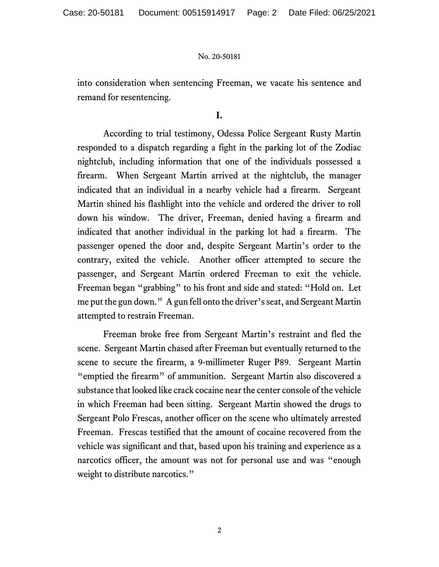into consideration when sentencing Freeman, we vacate his sentence and remand for resentencing.

# **I.**

According to trial testimony, Odessa Police Sergeant Rusty Martin responded to a dispatch regarding a fight in the parking lot of the Zodiac nightclub, including information that one of the individuals possessed a firearm. When Sergeant Martin arrived at the nightclub, the manager indicated that an individual in a nearby vehicle had a firearm. Sergeant Martin shined his flashlight into the vehicle and ordered the driver to roll down his window. The driver, Freeman, denied having a firearm and indicated that another individual in the parking lot had a firearm. The passenger opened the door and, despite Sergeant Martin's order to the contrary, exited the vehicle. Another officer attempted to secure the passenger, and Sergeant Martin ordered Freeman to exit the vehicle. Freeman began "grabbing" to his front and side and stated: "Hold on. Let me put the gun down." Agun fell onto the driver's seat, and Sergeant Martin attempted to restrain Freeman.

Freeman broke free from Sergeant Martin's restraint and fled the scene. Sergeant Martin chased after Freeman but eventually returned to the scene to secure the firearm, a 9-millimeter Ruger P89. Sergeant Martin "emptied the firearm" of ammunition. Sergeant Martin also discovered a substance that looked like crack cocaine nearthe center console of the vehicle in which Freeman had been sitting. Sergeant Martin showed the drugs to Sergeant Polo Frescas, another officer on the scene who ultimately arrested Freeman. Frescas testified that the amount of cocaine recovered from the vehicle was significant and that, based upon his training and experience as a narcotics officer, the amount was not for personal use and was "enough weight to distribute narcotics."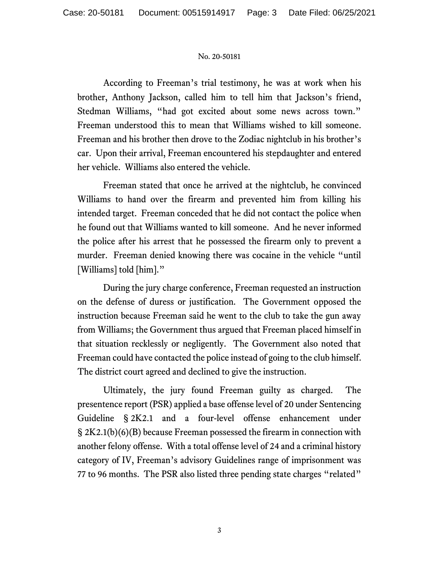According to Freeman's trial testimony, he was at work when his brother, Anthony Jackson, called him to tell him that Jackson's friend, Stedman Williams, "had got excited about some news across town." Freeman understood this to mean that Williams wished to kill someone. Freeman and his brother then drove to the Zodiac nightclub in his brother's car. Upon their arrival, Freeman encountered his stepdaughter and entered her vehicle. Williams also entered the vehicle.

Freeman stated that once he arrived at the nightclub, he convinced Williams to hand over the firearm and prevented him from killing his intended target. Freeman conceded that he did not contact the police when he found out that Williams wanted to kill someone. And he never informed the police after his arrest that he possessed the firearm only to prevent a murder. Freeman denied knowing there was cocaine in the vehicle "until [Williams] told [him]."

During the jury charge conference, Freeman requested an instruction on the defense of duress or justification. The Government opposed the instruction because Freeman said he went to the club to take the gun away from Williams; the Government thus argued that Freeman placed himself in that situation recklessly or negligently. The Government also noted that Freeman could have contacted the police instead of going to the club himself. The district court agreed and declined to give the instruction.

Ultimately, the jury found Freeman guilty as charged. The presentence report (PSR) applied a base offense level of 20 under Sentencing Guideline § 2K2.1 and a four-level offense enhancement under § 2K2.1(b)(6)(B) because Freeman possessed the firearm in connection with another felony offense. With a total offense level of 24 and a criminal history category of IV, Freeman's advisory Guidelines range of imprisonment was 77 to 96 months. The PSR also listed three pending state charges "related"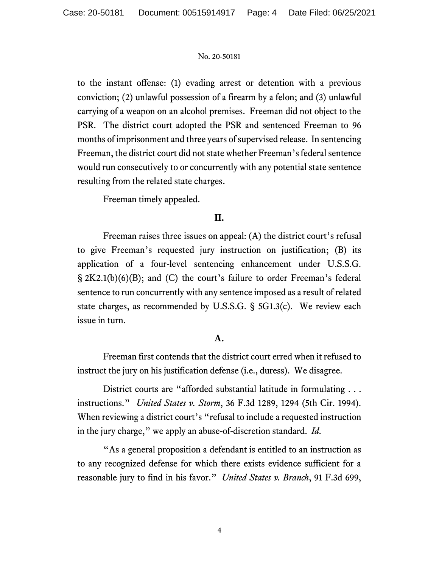to the instant offense: (1) evading arrest or detention with a previous conviction; (2) unlawful possession of a firearm by a felon; and (3) unlawful carrying of a weapon on an alcohol premises. Freeman did not object to the PSR. The district court adopted the PSR and sentenced Freeman to 96 months of imprisonment and three years of supervised release. In sentencing Freeman, the district court did not state whether Freeman's federal sentence would run consecutively to or concurrently with any potential state sentence resulting from the related state charges.

Freeman timely appealed.

# **II.**

Freeman raises three issues on appeal: (A) the district court's refusal to give Freeman's requested jury instruction on justification; (B) its application of a four-level sentencing enhancement under U.S.S.G. § 2K2.1(b)(6)(B); and (C) the court's failure to order Freeman's federal sentence to run concurrently with any sentence imposed as a result of related state charges, as recommended by U.S.S.G. § 5G1.3(c). We review each issue in turn.

# **A.**

Freeman first contends that the district court erred when it refused to instruct the jury on his justification defense (i.e., duress). We disagree.

District courts are "afforded substantial latitude in formulating . . . instructions." *United States v. Storm*, 36 F.3d 1289, 1294 (5th Cir. 1994). When reviewing a district court's "refusal to include a requested instruction in the jury charge," we apply an abuse-of-discretion standard. *Id*.

"As a general proposition a defendant is entitled to an instruction as to any recognized defense for which there exists evidence sufficient for a reasonable jury to find in his favor." *United States v. Branch*, 91 F.3d 699,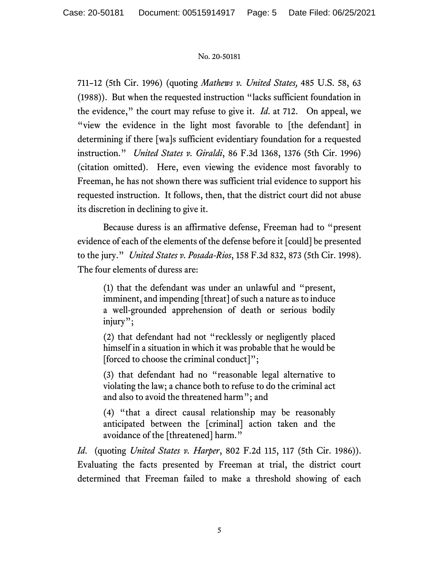711–12 (5th Cir. 1996) (quoting *Mathews v. United States,* 485 U.S. 58, 63 (1988)). But when the requested instruction "lacks sufficient foundation in the evidence," the court may refuse to give it. *Id*. at 712. On appeal, we "view the evidence in the light most favorable to [the defendant] in determining if there [wa]s sufficient evidentiary foundation for a requested instruction." *United States v. Giraldi*, 86 F.3d 1368, 1376 (5th Cir. 1996) (citation omitted). Here, even viewing the evidence most favorably to Freeman, he has not shown there was sufficient trial evidence to support his requested instruction. It follows, then, that the district court did not abuse its discretion in declining to give it.

Because duress is an affirmative defense, Freeman had to "present evidence of each of the elements of the defense before it [could] be presented to the jury." *United States v. Posada-Rios*, 158 F.3d 832, 873 (5th Cir. 1998). The four elements of duress are:

(1) that the defendant was under an unlawful and "present, imminent, and impending [threat] of such a nature as to induce a well-grounded apprehension of death or serious bodily injury";

(2) that defendant had not "recklessly or negligently placed himself in a situation in which it was probable that he would be [forced to choose the criminal conduct]";

(3) that defendant had no "reasonable legal alternative to violating the law; a chance both to refuse to do the criminal act and also to avoid the threatened harm"; and

(4) "that a direct causal relationship may be reasonably anticipated between the [criminal] action taken and the avoidance of the [threatened] harm."

*Id*. (quoting *United States v. Harper*, 802 F.2d 115, 117 (5th Cir. 1986)). Evaluating the facts presented by Freeman at trial, the district court determined that Freeman failed to make a threshold showing of each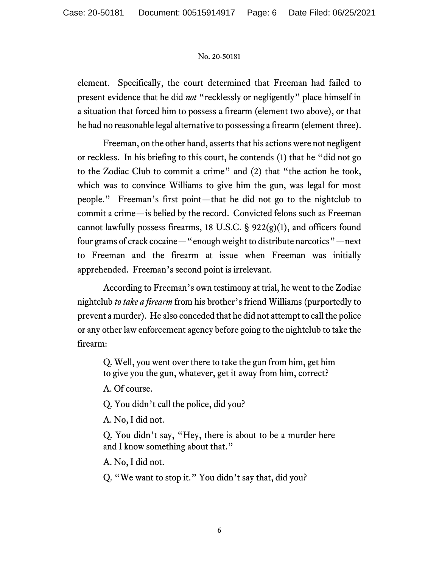element. Specifically, the court determined that Freeman had failed to present evidence that he did *not* "recklessly or negligently" place himself in a situation that forced him to possess a firearm (element two above), or that he had no reasonable legal alternative to possessing a firearm (element three).

Freeman, on the other hand, asserts that his actions were not negligent or reckless. In his briefing to this court, he contends (1) that he "did not go to the Zodiac Club to commit a crime" and (2) that "the action he took, which was to convince Williams to give him the gun, was legal for most people." Freeman's first point—that he did not go to the nightclub to commit a crime—is belied by the record. Convicted felons such as Freeman cannot lawfully possess firearms, 18 U.S.C. § 922(g)(1), and officers found four grams of crack cocaine—"enough weight to distribute narcotics"—next to Freeman and the firearm at issue when Freeman was initially apprehended. Freeman's second point is irrelevant.

According to Freeman's own testimony at trial, he went to the Zodiac nightclub *to take a firearm* from his brother's friend Williams (purportedly to prevent a murder). He also conceded that he did not attempt to call the police or any other law enforcement agency before going to the nightclub to take the firearm:

Q. Well, you went over there to take the gun from him, get him to give you the gun, whatever, get it away from him, correct?

A. Of course.

Q. You didn't call the police, did you?

A. No, I did not.

Q. You didn't say, "Hey, there is about to be a murder here and I know something about that."

A. No, I did not.

Q. "We want to stop it." You didn't say that, did you?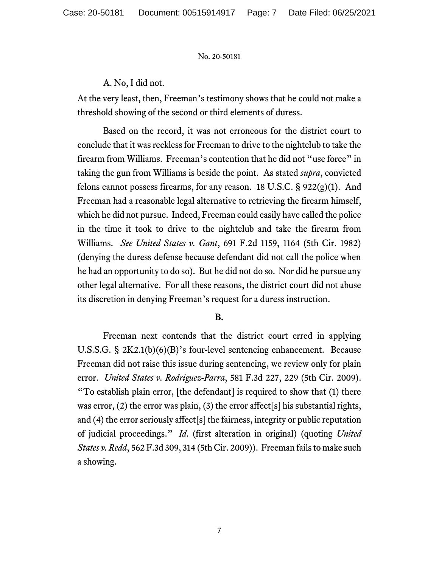# A. No, I did not.

At the very least, then, Freeman's testimony shows that he could not make a threshold showing of the second or third elements of duress.

Based on the record, it was not erroneous for the district court to conclude that it was reckless for Freeman to drive to the nightclub to take the firearm from Williams. Freeman's contention that he did not "use force" in taking the gun from Williams is beside the point. As stated *supra*, convicted felons cannot possess firearms, for any reason. 18 U.S.C. § 922(g)(1). And Freeman had a reasonable legal alternative to retrieving the firearm himself, which he did not pursue. Indeed, Freeman could easily have called the police in the time it took to drive to the nightclub and take the firearm from Williams. *See United States v. Gant*, 691 F.2d 1159, 1164 (5th Cir. 1982) (denying the duress defense because defendant did not call the police when he had an opportunity to do so). But he did not do so. Nor did he pursue any other legal alternative. For all these reasons, the district court did not abuse its discretion in denying Freeman's request for a duress instruction.

### **B.**

Freeman next contends that the district court erred in applying U.S.S.G. § 2K2.1(b)(6)(B)'s four-level sentencing enhancement. Because Freeman did not raise this issue during sentencing, we review only for plain error. *United States v. Rodriguez-Parra*, 581 F.3d 227, 229 (5th Cir. 2009). "To establish plain error, [the defendant] is required to show that (1) there was error, (2) the error was plain, (3) the error affect [s] his substantial rights, and (4) the error seriously affect[s] the fairness, integrity or public reputation of judicial proceedings." *Id*. (first alteration in original) (quoting *United States v. Redd*, 562 F.3d 309, 314 (5th Cir. 2009)). Freeman fails to make such a showing.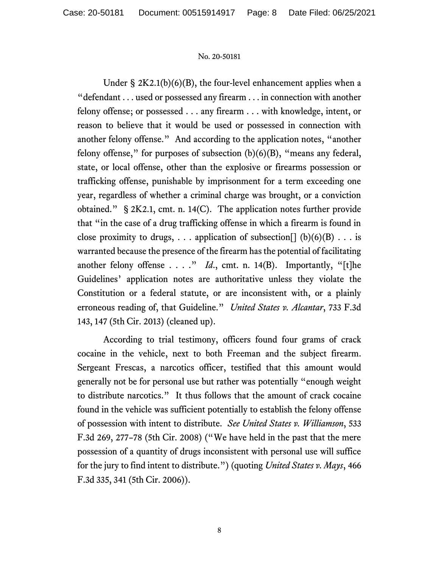Under  $\S 2K2.1(b)(6)(B)$ , the four-level enhancement applies when a "defendant . . . used or possessed any firearm . . . in connection with another felony offense; or possessed . . . any firearm . . . with knowledge, intent, or reason to believe that it would be used or possessed in connection with another felony offense." And according to the application notes, "another felony offense," for purposes of subsection  $(b)(6)(B)$ , "means any federal, state, or local offense, other than the explosive or firearms possession or trafficking offense, punishable by imprisonment for a term exceeding one year, regardless of whether a criminal charge was brought, or a conviction obtained." § 2K2.1, cmt. n. 14(C). The application notes further provide that "in the case of a drug trafficking offense in which a firearm is found in close proximity to drugs, ... application of subsection  $[ \, ] (b)(6)(B) \ldots$  is warranted because the presence of the firearm has the potential of facilitating another felony offense  $\dots$ ." *Id.*, cmt. n. 14(B). Importantly, "[t]he Guidelines' application notes are authoritative unless they violate the Constitution or a federal statute, or are inconsistent with, or a plainly erroneous reading of, that Guideline." *United States v. Alcantar*, 733 F.3d 143, 147 (5th Cir. 2013) (cleaned up).

According to trial testimony, officers found four grams of crack cocaine in the vehicle, next to both Freeman and the subject firearm. Sergeant Frescas, a narcotics officer, testified that this amount would generally not be for personal use but rather was potentially "enough weight to distribute narcotics." It thus follows that the amount of crack cocaine found in the vehicle was sufficient potentially to establish the felony offense of possession with intent to distribute. *See United States v. Williamson*, 533 F.3d 269, 277–78 (5th Cir. 2008) ("We have held in the past that the mere possession of a quantity of drugs inconsistent with personal use will suffice for the jury to find intent to distribute.") (quoting *United States v. Mays*, 466 F.3d 335, 341 (5th Cir. 2006)).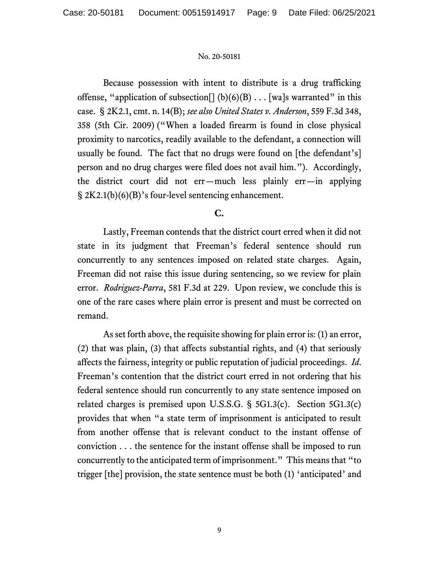Because possession with intent to distribute is a drug trafficking offense, "application of subsection  $[ (b)(6)(B) \dots ]$  walset warranted" in this case. § 2K2.1, cmt. n. 14(B); *see also United States v. Anderson*, 559 F.3d 348, 358 (5th Cir. 2009) ("When a loaded firearm is found in close physical proximity to narcotics, readily available to the defendant, a connection will usually be found. The fact that no drugs were found on [the defendant's] person and no drug charges were filed does not avail him."). Accordingly, the district court did not err—much less plainly err—in applying § 2K2.1(b)(6)(B)'s four-level sentencing enhancement.

# **C.**

Lastly, Freeman contends that the district court erred when it did not state in its judgment that Freeman's federal sentence should run concurrently to any sentences imposed on related state charges. Again, Freeman did not raise this issue during sentencing, so we review for plain error. *Rodriguez-Parra*, 581 F.3d at 229. Upon review, we conclude this is one of the rare cases where plain error is present and must be corrected on remand.

As set forth above, the requisite showing for plain error is: (1) an error, (2) that was plain, (3) that affects substantial rights, and (4) that seriously affects the fairness, integrity or public reputation of judicial proceedings. *Id*. Freeman's contention that the district court erred in not ordering that his federal sentence should run concurrently to any state sentence imposed on related charges is premised upon U.S.S.G. § 5G1.3(c). Section 5G1.3(c) provides that when "a state term of imprisonment is anticipated to result from another offense that is relevant conduct to the instant offense of conviction . . . the sentence for the instant offense shall be imposed to run concurrently to the anticipated term of imprisonment." This means that "to trigger [the] provision, the state sentence must be both (1) 'anticipated' and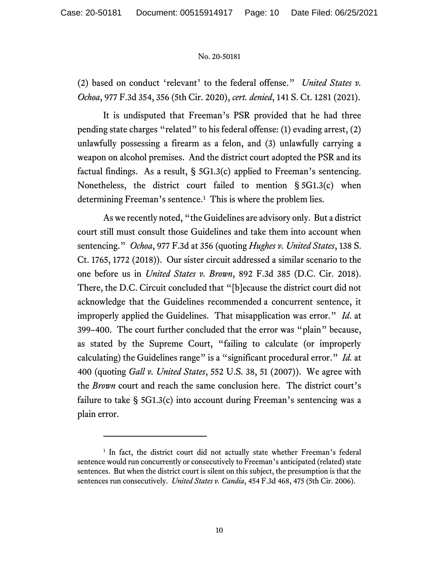(2) based on conduct 'relevant' to the federal offense." *United States v. Ochoa*, 977 F.3d 354, 356 (5th Cir. 2020), *cert. denied*, 141 S. Ct. 1281 (2021).

It is undisputed that Freeman's PSR provided that he had three pending state charges "related" to his federal offense: (1) evading arrest, (2) unlawfully possessing a firearm as a felon, and (3) unlawfully carrying a weapon on alcohol premises. And the district court adopted the PSR and its factual findings. As a result,  $\S$  5G1.3(c) applied to Freeman's sentencing. Nonetheless, the district court failed to mention § 5G1.3(c) when determining Freeman's sentence.<sup>1</sup> This is where the problem lies.

As we recently noted, "the Guidelines are advisory only. But a district court still must consult those Guidelines and take them into account when sentencing." *Ochoa*, 977 F.3d at 356 (quoting *Hughes v. United States*, 138 S. Ct. 1765, 1772 (2018)). Our sister circuit addressed a similar scenario to the one before us in *United States v. Brown*, 892 F.3d 385 (D.C. Cir. 2018). There, the D.C. Circuit concluded that "[b]ecause the district court did not acknowledge that the Guidelines recommended a concurrent sentence, it improperly applied the Guidelines. That misapplication was error." *Id*. at 399–400. The court further concluded that the error was "plain" because, as stated by the Supreme Court, "failing to calculate (or improperly calculating) the Guidelines range" is a "significant procedural error." *Id.* at 400 (quoting *Gall v. United States*, 552 U.S. 38, 51 (2007)). We agree with the *Brown* court and reach the same conclusion here. The district court's failure to take § 5G1.3(c) into account during Freeman's sentencing was a plain error.

<sup>&</sup>lt;sup>1</sup> In fact, the district court did not actually state whether Freeman's federal sentence would run concurrently or consecutively to Freeman's anticipated (related) state sentences. But when the district court is silent on this subject, the presumption is that the sentences run consecutively. *United States v. Candia*, 454 F.3d 468, 475 (5th Cir. 2006).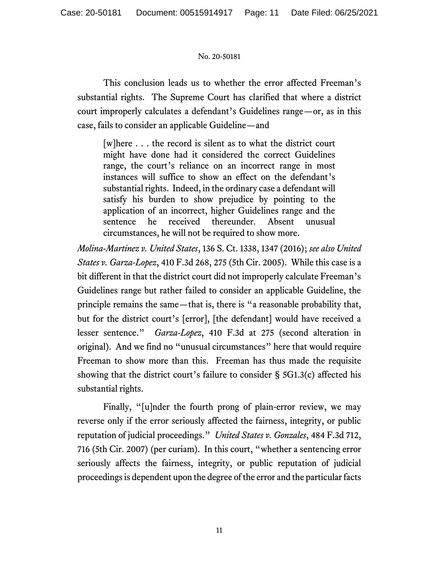This conclusion leads us to whether the error affected Freeman's substantial rights. The Supreme Court has clarified that where a district court improperly calculates a defendant's Guidelines range—or, as in this case, fails to consider an applicable Guideline—and

[w]here . . . the record is silent as to what the district court might have done had it considered the correct Guidelines range, the court's reliance on an incorrect range in most instances will suffice to show an effect on the defendant's substantial rights. Indeed, in the ordinary case a defendant will satisfy his burden to show prejudice by pointing to the application of an incorrect, higher Guidelines range and the sentence he received thereunder. Absent unusual circumstances, he will not be required to show more.

*Molina-Martinez v. United States*, 136 S. Ct. 1338, 1347 (2016); *see also United States v. Garza-Lopez*, 410 F.3d 268, 275 (5th Cir. 2005). While this case is a bit different in that the district court did not improperly calculate Freeman's Guidelines range but rather failed to consider an applicable Guideline, the principle remains the same—that is, there is "a reasonable probability that, but for the district court's [error], [the defendant] would have received a lesser sentence." *Garza-Lopez*, 410 F.3d at 275 (second alteration in original). And we find no "unusual circumstances" here that would require Freeman to show more than this. Freeman has thus made the requisite showing that the district court's failure to consider § 5G1.3(c) affected his substantial rights.

Finally, "[u]nder the fourth prong of plain-error review, we may reverse only if the error seriously affected the fairness, integrity, or public reputation of judicial proceedings." *United States v. Gonzales*, 484 F.3d 712, 716 (5th Cir. 2007) (per curiam). In this court, "whether a sentencing error seriously affects the fairness, integrity, or public reputation of judicial proceedings is dependent upon the degree of the error and the particular facts